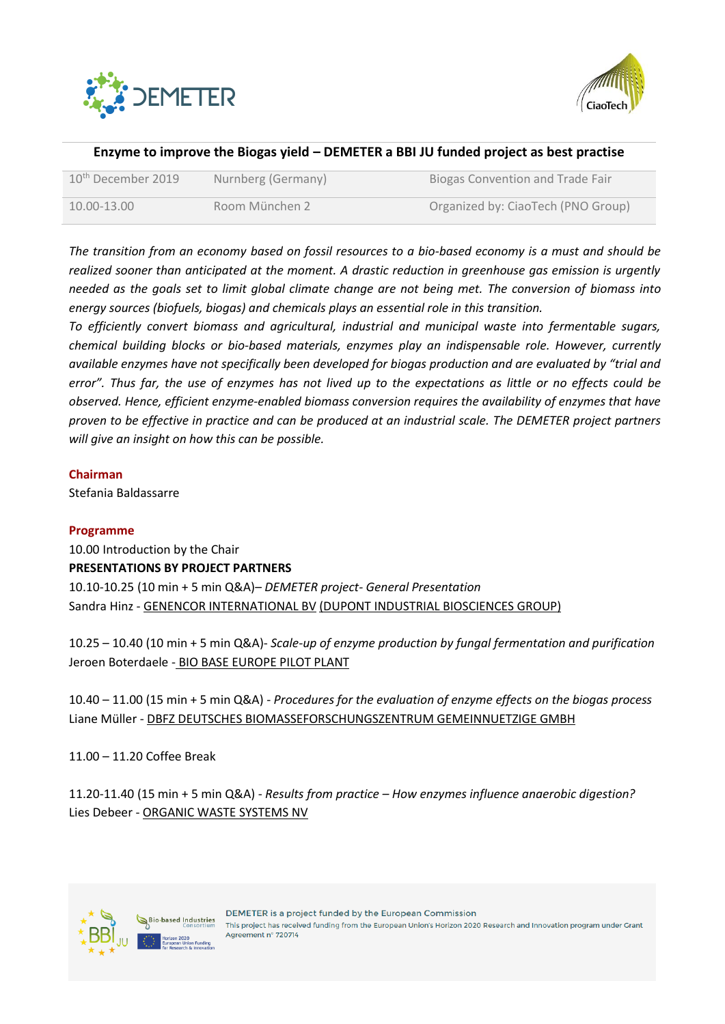



# **Enzyme to improve the Biogas yield – DEMETER a BBI JU funded project as best practise**

| 10 <sup>th</sup> December 2019 | Nurnberg (Germany) | Biogas Convention and Trade Fair   |
|--------------------------------|--------------------|------------------------------------|
| $10.00 - 13.00$                | Room München 2     | Organized by: CiaoTech (PNO Group) |

*The transition from an economy based on fossil resources to a bio-based economy is a must and should be realized sooner than anticipated at the moment. A drastic reduction in greenhouse gas emission is urgently needed as the goals set to limit global climate change are not being met. The conversion of biomass into energy sources (biofuels, biogas) and chemicals plays an essential role in this transition.*

*To efficiently convert biomass and agricultural, industrial and municipal waste into fermentable sugars, chemical building blocks or bio-based materials, enzymes play an indispensable role. However, currently available enzymes have not specifically been developed for biogas production and are evaluated by "trial and error". Thus far, the use of enzymes has not lived up to the expectations as little or no effects could be observed. Hence, efficient enzyme-enabled biomass conversion requires the availability of enzymes that have proven to be effective in practice and can be produced at an industrial scale. The DEMETER project partners will give an insight on how this can be possible.* 

## **Chairman**

Stefania Baldassarre

## **Programme**

10.00 Introduction by the Chair **PRESENTATIONS BY PROJECT PARTNERS** 10.10-10.25 (10 min + 5 min Q&A)– *DEMETER project- General Presentation* Sandra Hinz - GENENCOR INTERNATIONAL BV (DUPONT INDUSTRIAL BIOSCIENCES GROUP)

10.25 – 10.40 (10 min + 5 min Q&A)- *Scale-up of enzyme production by fungal fermentation and purification* Jeroen Boterdaele - BIO BASE EUROPE PILOT PLANT

10.40 – 11.00 (15 min + 5 min Q&A) - *Procedures for the evaluation of enzyme effects on the biogas process* Liane Müller - DBFZ DEUTSCHES BIOMASSEFORSCHUNGSZENTRUM GEMEINNUETZIGE GMBH

11.00 – 11.20 Coffee Break

11.20-11.40 (15 min + 5 min Q&A) - *Results from practice – How enzymes influence anaerobic digestion?* Lies Debeer - ORGANIC WASTE SYSTEMS NV